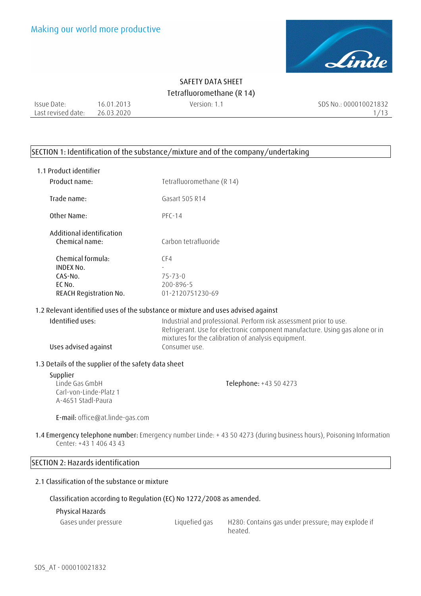

Issue Date: Last revised date: 26.03.2020 16.01.2013

Version: 1.1 SDS No.: 000010021832 1/13

#### **SECTION 1: Identification of the substance/mixture and of the company/undertaking**

| 1.1 Product identifier                                                               |                                                                                                                                                                                                                            |
|--------------------------------------------------------------------------------------|----------------------------------------------------------------------------------------------------------------------------------------------------------------------------------------------------------------------------|
| Product name:                                                                        | Tetrafluoromethane (R 14)                                                                                                                                                                                                  |
| Trade name:                                                                          | Gasart 505 R14                                                                                                                                                                                                             |
| Other Name:                                                                          | $PFC-14$                                                                                                                                                                                                                   |
| Additional identification<br>Chemical name:                                          | Carbon tetrafluoride                                                                                                                                                                                                       |
| Chemical formula:<br><b>INDEX No.</b><br>CAS-No.<br>EC No.<br>REACH Registration No. | CF4<br>$75 - 73 - 0$<br>200-896-5<br>01-2120751230-69                                                                                                                                                                      |
| 1.2 Relevant identified uses of the substance or mixture and uses advised against    |                                                                                                                                                                                                                            |
| Identified uses:<br>Uses advised against                                             | Industrial and professional. Perform risk assessment prior to use.<br>Refrigerant. Use for electronic component manufacture. Using gas alone or in<br>mixtures for the calibration of analysis equipment.<br>Consumer use. |
| 1.3 Details of the supplier of the safety data sheet                                 |                                                                                                                                                                                                                            |
| Supplier<br>Linde Gas GmbH<br>Carl-von-Linde-Platz 1<br>A-4651 Stadl-Paura           | Telephone: +43 50 4273                                                                                                                                                                                                     |
| E-mail: office@at.linde-gas.com                                                      |                                                                                                                                                                                                                            |
|                                                                                      |                                                                                                                                                                                                                            |

**1.4 Emergency telephone number:** Emergency number Linde: + 43 50 4273 (during business hours), Poisoning Information Center: +43 1 406 43 43

## **SECTION 2: Hazards identification 2.1 Classification of the substance or mixture**

#### **Classification according to Regulation (EC) No 1272/2008 as amended.**

#### **Physical Hazards**

| Gases under pressure |  |
|----------------------|--|
|----------------------|--|

e Liquefied gas H280: Contains gas under pressure; may explode if heated.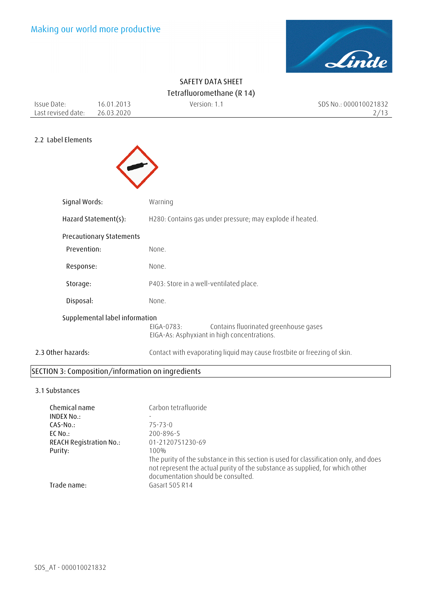

|                                   |                                 | SAFEIT DATA SHEET                                                                                                                                                      |                               |
|-----------------------------------|---------------------------------|------------------------------------------------------------------------------------------------------------------------------------------------------------------------|-------------------------------|
|                                   |                                 | Tetrafluoromethane (R 14)                                                                                                                                              |                               |
| Issue Date:<br>Last revised date: | 16.01.2013<br>26.03.2020        | Version: 1.1                                                                                                                                                           | SDS No.: 000010021832<br>2/13 |
|                                   |                                 |                                                                                                                                                                        |                               |
| 2.2 Label Elements                |                                 |                                                                                                                                                                        |                               |
|                                   |                                 |                                                                                                                                                                        |                               |
|                                   |                                 |                                                                                                                                                                        |                               |
|                                   |                                 |                                                                                                                                                                        |                               |
| Signal Words:                     |                                 | Warning                                                                                                                                                                |                               |
|                                   | Hazard Statement(s):            | H280: Contains gas under pressure; may explode if heated.                                                                                                              |                               |
|                                   | <b>Precautionary Statements</b> |                                                                                                                                                                        |                               |
| Prevention:                       |                                 | None.                                                                                                                                                                  |                               |
| Response:                         |                                 | None.                                                                                                                                                                  |                               |
| Storage:                          |                                 | P403: Store in a well-ventilated place.                                                                                                                                |                               |
| Disposal:                         |                                 | None.                                                                                                                                                                  |                               |
|                                   | Supplemental label information  |                                                                                                                                                                        |                               |
|                                   |                                 | Contains fluorinated greenhouse gases<br>EIGA-0783:<br>EIGA-As: Asphyxiant in high concentrations.                                                                     |                               |
| 2.3 Other hazards:                |                                 | Contact with evaporating liquid may cause frostbite or freezing of skin.                                                                                               |                               |
|                                   |                                 | SECTION 3: Composition/information on ingredients                                                                                                                      |                               |
| 3.1 Substances                    |                                 |                                                                                                                                                                        |                               |
| Chemical name                     |                                 | Carbon tetrafluoride                                                                                                                                                   |                               |
| <b>INDEX No.:</b>                 |                                 |                                                                                                                                                                        |                               |
| CAS-No.:                          |                                 | $75 - 73 - 0$                                                                                                                                                          |                               |
| EC No.:                           |                                 | 200-896-5                                                                                                                                                              |                               |
| <b>REACH Registration No.:</b>    |                                 | 01-2120751230-69                                                                                                                                                       |                               |
| Purity:                           |                                 | 100%                                                                                                                                                                   |                               |
|                                   |                                 | The purity of the substance in this section is used for classification only, and does<br>not represent the actual purity of the substance as supplied, for which other |                               |

documentation should be consulted.

# **SAFETY DATA SHEET**

Trade name: Gasart 505 R14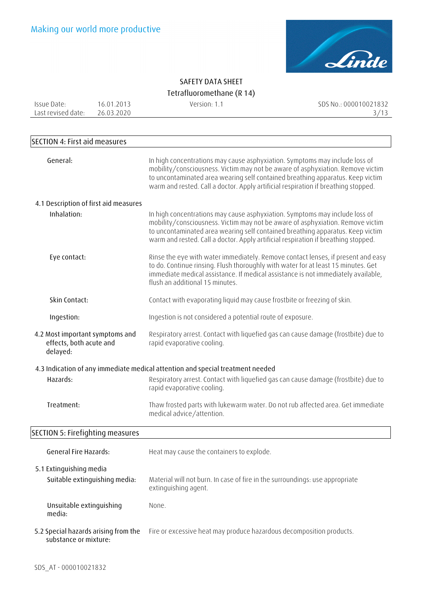

| Issue Date:<br>Last revised date:                                      | 16.01.2013<br>26.03.2020      | Version: 1.1                                                                                                                                                                                                                                                                                                                          | SDS No.: 000010021832<br>3/13 |
|------------------------------------------------------------------------|-------------------------------|---------------------------------------------------------------------------------------------------------------------------------------------------------------------------------------------------------------------------------------------------------------------------------------------------------------------------------------|-------------------------------|
| <b>SECTION 4: First aid measures</b>                                   |                               |                                                                                                                                                                                                                                                                                                                                       |                               |
| General:                                                               |                               | In high concentrations may cause asphyxiation. Symptoms may include loss of<br>mobility/consciousness. Victim may not be aware of asphyxiation. Remove victim<br>to uncontaminated area wearing self contained breathing apparatus. Keep victim<br>warm and rested. Call a doctor. Apply artificial respiration if breathing stopped. |                               |
| 4.1 Description of first aid measures                                  |                               |                                                                                                                                                                                                                                                                                                                                       |                               |
| Inhalation:                                                            |                               | In high concentrations may cause asphyxiation. Symptoms may include loss of<br>mobility/consciousness. Victim may not be aware of asphyxiation. Remove victim<br>to uncontaminated area wearing self contained breathing apparatus. Keep victim<br>warm and rested. Call a doctor. Apply artificial respiration if breathing stopped. |                               |
| Eye contact:                                                           |                               | Rinse the eye with water immediately. Remove contact lenses, if present and easy<br>to do. Continue rinsing. Flush thoroughly with water for at least 15 minutes. Get<br>immediate medical assistance. If medical assistance is not immediately available,<br>flush an additional 15 minutes.                                         |                               |
| Skin Contact:                                                          |                               | Contact with evaporating liquid may cause frostbite or freezing of skin.                                                                                                                                                                                                                                                              |                               |
| Ingestion:                                                             |                               | Ingestion is not considered a potential route of exposure.                                                                                                                                                                                                                                                                            |                               |
| 4.2 Most important symptoms and<br>effects, both acute and<br>delayed: |                               | Respiratory arrest. Contact with liquefied gas can cause damage (frostbite) due to<br>rapid evaporative cooling.                                                                                                                                                                                                                      |                               |
|                                                                        |                               | 4.3 Indication of any immediate medical attention and special treatment needed                                                                                                                                                                                                                                                        |                               |
| Hazards:                                                               |                               | Respiratory arrest. Contact with liquefied gas can cause damage (frostbite) due to<br>rapid evaporative cooling.                                                                                                                                                                                                                      |                               |
| Treatment:                                                             |                               | Thaw frosted parts with lukewarm water. Do not rub affected area. Get immediate<br>medical advice/attention.                                                                                                                                                                                                                          |                               |
| SECTION 5: Firefighting measures                                       |                               |                                                                                                                                                                                                                                                                                                                                       |                               |
| <b>General Fire Hazards:</b>                                           |                               | Heat may cause the containers to explode.                                                                                                                                                                                                                                                                                             |                               |
| 5.1 Extinguishing media                                                | Suitable extinguishing media: | Material will not burn. In case of fire in the surroundings: use appropriate<br>extinguishing agent.                                                                                                                                                                                                                                  |                               |
| Unsuitable extinguishing<br>media:                                     |                               | None.                                                                                                                                                                                                                                                                                                                                 |                               |
| 5.2 Special hazards arising from the<br>substance or mixture:          |                               | Fire or excessive heat may produce hazardous decomposition products.                                                                                                                                                                                                                                                                  |                               |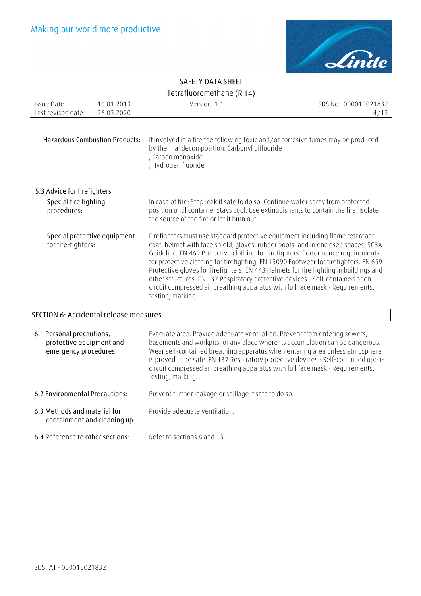

| Issue Date:<br>Last revised date:                                              | 16.01.2013<br>26.03.2020              | Version: 1.1                                                                                                                                                                                                                                                                                                                                                                                                                                                                                                                                                                                                                      | SDS No.: 000010021832<br>4/13 |
|--------------------------------------------------------------------------------|---------------------------------------|-----------------------------------------------------------------------------------------------------------------------------------------------------------------------------------------------------------------------------------------------------------------------------------------------------------------------------------------------------------------------------------------------------------------------------------------------------------------------------------------------------------------------------------------------------------------------------------------------------------------------------------|-------------------------------|
|                                                                                | <b>Hazardous Combustion Products:</b> | If involved in a fire the following toxic and/or corrosive fumes may be produced<br>by thermal decomposition: Carbonyl difluoride<br>; Carbon monoxide<br>; Hydrogen fluoride                                                                                                                                                                                                                                                                                                                                                                                                                                                     |                               |
| 5.3 Advice for firefighters<br>Special fire fighting<br>procedures:            |                                       | In case of fire: Stop leak if safe to do so. Continue water spray from protected<br>position until container stays cool. Use extinguishants to contain the fire. Isolate<br>the source of the fire or let it burn out.                                                                                                                                                                                                                                                                                                                                                                                                            |                               |
| for fire-fighters:                                                             | Special protective equipment          | Firefighters must use standard protective equipment including flame retardant<br>coat, helmet with face shield, gloves, rubber boots, and in enclosed spaces, SCBA.<br>Guideline: EN 469 Protective clothing for firefighters. Performance requirements<br>for protective clothing for firefighting. EN 15090 Footwear for firefighters. EN 659<br>Protective gloves for firefighters. EN 443 Helmets for fire fighting in buildings and<br>other structures. EN 137 Respiratory protective devices - Self-contained open-<br>circuit compressed air breathing apparatus with full face mask - Requirements,<br>testing, marking. |                               |
| <b>SECTION 6: Accidental release measures</b>                                  |                                       |                                                                                                                                                                                                                                                                                                                                                                                                                                                                                                                                                                                                                                   |                               |
| 6.1 Personal precautions,<br>protective equipment and<br>emergency procedures: |                                       | Evacuate area. Provide adequate ventilation. Prevent from entering sewers,<br>basements and workpits, or any place where its accumulation can be dangerous.<br>Wear self-contained breathing apparatus when entering area unless atmosphere<br>is proved to be safe. EN 137 Respiratory protective devices - Self-contained open-                                                                                                                                                                                                                                                                                                 |                               |

circuit compressed air breathing apparatus with full face mask - Requirements,

**6.2 Environmental Precautions:** Prevent further leakage or spillage if safe to do so.

testing, marking.

- **6.3 Methods and material for containment and cleaning up:**  Provide adequate ventilation.
- **6.4 Reference to other sections:** Refer to sections 8 and 13.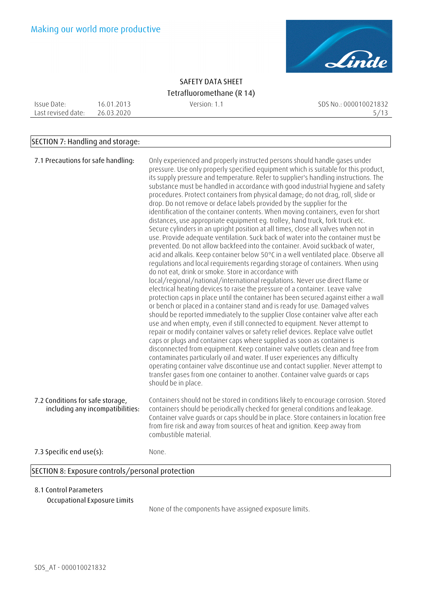

Issue Date: Last revised date: 26.03.2020 16.01.2013

Version: 1.1 SDS No.: 000010021832 5/13

#### **SECTION 7: Handling and storage:**

| 7.1 Precautions for safe handling:                                   | Only experienced and properly instructed persons should handle gases under<br>pressure. Use only properly specified equipment which is suitable for this product,<br>its supply pressure and temperature. Refer to supplier's handling instructions. The<br>substance must be handled in accordance with good industrial hygiene and safety<br>procedures. Protect containers from physical damage; do not drag, roll, slide or<br>drop. Do not remove or deface labels provided by the supplier for the<br>identification of the container contents. When moving containers, even for short<br>distances, use appropriate equipment eq. trolley, hand truck, fork truck etc.<br>Secure cylinders in an upright position at all times, close all valves when not in<br>use. Provide adequate ventilation. Suck back of water into the container must be<br>prevented. Do not allow backfeed into the container. Avoid suckback of water,<br>acid and alkalis. Keep container below 50°C in a well ventilated place. Observe all<br>regulations and local requirements regarding storage of containers. When using<br>do not eat, drink or smoke. Store in accordance with<br>local/regional/national/international regulations. Never use direct flame or<br>electrical heating devices to raise the pressure of a container. Leave valve<br>protection caps in place until the container has been secured against either a wall<br>or bench or placed in a container stand and is ready for use. Damaged valves<br>should be reported immediately to the supplier Close container valve after each<br>use and when empty, even if still connected to equipment. Never attempt to<br>repair or modify container valves or safety relief devices. Replace valve outlet<br>caps or plugs and container caps where supplied as soon as container is<br>disconnected from equipment. Keep container valve outlets clean and free from<br>contaminates particularly oil and water. If user experiences any difficulty<br>operating container valve discontinue use and contact supplier. Never attempt to<br>transfer gases from one container to another. Container valve guards or caps<br>should be in place. |
|----------------------------------------------------------------------|-------------------------------------------------------------------------------------------------------------------------------------------------------------------------------------------------------------------------------------------------------------------------------------------------------------------------------------------------------------------------------------------------------------------------------------------------------------------------------------------------------------------------------------------------------------------------------------------------------------------------------------------------------------------------------------------------------------------------------------------------------------------------------------------------------------------------------------------------------------------------------------------------------------------------------------------------------------------------------------------------------------------------------------------------------------------------------------------------------------------------------------------------------------------------------------------------------------------------------------------------------------------------------------------------------------------------------------------------------------------------------------------------------------------------------------------------------------------------------------------------------------------------------------------------------------------------------------------------------------------------------------------------------------------------------------------------------------------------------------------------------------------------------------------------------------------------------------------------------------------------------------------------------------------------------------------------------------------------------------------------------------------------------------------------------------------------------------------------------------------------------------------------------------------------------------------------------------|
| 7.2 Conditions for safe storage,<br>including any incompatibilities: | Containers should not be stored in conditions likely to encourage corrosion. Stored<br>containers should be periodically checked for general conditions and leakage.<br>Container valve quards or caps should be in place. Store containers in location free<br>from fire risk and away from sources of heat and ignition. Keep away from<br>combustible material.                                                                                                                                                                                                                                                                                                                                                                                                                                                                                                                                                                                                                                                                                                                                                                                                                                                                                                                                                                                                                                                                                                                                                                                                                                                                                                                                                                                                                                                                                                                                                                                                                                                                                                                                                                                                                                          |
| 7.3 Specific end use(s):                                             | None.                                                                                                                                                                                                                                                                                                                                                                                                                                                                                                                                                                                                                                                                                                                                                                                                                                                                                                                                                                                                                                                                                                                                                                                                                                                                                                                                                                                                                                                                                                                                                                                                                                                                                                                                                                                                                                                                                                                                                                                                                                                                                                                                                                                                       |

#### **8.1 Control Parameters**

**Occupational Exposure Limits** 

None of the components have assigned exposure limits.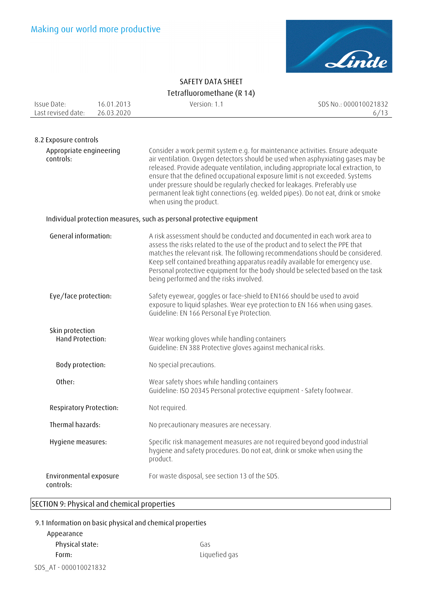

| Issue Date:<br>Last revised date:    | 16.01.2013<br>26.03.2020 | Version: 1.1                                                                                                                                                                                                                                                                                                                                                                                                                                                                                                                     | SDS No.: 000010021832<br>6/13 |
|--------------------------------------|--------------------------|----------------------------------------------------------------------------------------------------------------------------------------------------------------------------------------------------------------------------------------------------------------------------------------------------------------------------------------------------------------------------------------------------------------------------------------------------------------------------------------------------------------------------------|-------------------------------|
|                                      |                          |                                                                                                                                                                                                                                                                                                                                                                                                                                                                                                                                  |                               |
| 8.2 Exposure controls                |                          |                                                                                                                                                                                                                                                                                                                                                                                                                                                                                                                                  |                               |
| Appropriate engineering<br>controls: |                          | Consider a work permit system e.g. for maintenance activities. Ensure adequate<br>air ventilation. Oxygen detectors should be used when asphyxiating gases may be<br>released. Provide adequate ventilation, including appropriate local extraction, to<br>ensure that the defined occupational exposure limit is not exceeded. Systems<br>under pressure should be regularly checked for leakages. Preferably use<br>permanent leak tight connections (eg. welded pipes). Do not eat, drink or smoke<br>when using the product. |                               |
|                                      |                          | Individual protection measures, such as personal protective equipment                                                                                                                                                                                                                                                                                                                                                                                                                                                            |                               |
| General information:                 |                          | A risk assessment should be conducted and documented in each work area to<br>assess the risks related to the use of the product and to select the PPE that<br>matches the relevant risk. The following recommendations should be considered.<br>Keep self contained breathing apparatus readily available for emergency use.<br>Personal protective equipment for the body should be selected based on the task<br>being performed and the risks involved.                                                                       |                               |
| Eye/face protection:                 |                          | Safety eyewear, goggles or face-shield to EN166 should be used to avoid<br>exposure to liquid splashes. Wear eye protection to EN 166 when using gases.<br>Guideline: EN 166 Personal Eye Protection.                                                                                                                                                                                                                                                                                                                            |                               |
| Skin protection<br>Hand Protection:  |                          | Wear working gloves while handling containers                                                                                                                                                                                                                                                                                                                                                                                                                                                                                    |                               |
|                                      |                          | Guideline: EN 388 Protective gloves against mechanical risks.                                                                                                                                                                                                                                                                                                                                                                                                                                                                    |                               |
| Body protection:                     |                          | No special precautions.                                                                                                                                                                                                                                                                                                                                                                                                                                                                                                          |                               |
| Other:                               |                          | Wear safety shoes while handling containers<br>Guideline: ISO 20345 Personal protective equipment - Safety footwear.                                                                                                                                                                                                                                                                                                                                                                                                             |                               |
| <b>Respiratory Protection:</b>       |                          | Not required.                                                                                                                                                                                                                                                                                                                                                                                                                                                                                                                    |                               |
| Thermal hazards:                     |                          | No precautionary measures are necessary.                                                                                                                                                                                                                                                                                                                                                                                                                                                                                         |                               |
| Hygiene measures:                    |                          | Specific risk management measures are not required beyond good industrial<br>hygiene and safety procedures. Do not eat, drink or smoke when using the<br>product.                                                                                                                                                                                                                                                                                                                                                                |                               |
| Environmental exposure<br>controls:  |                          | For waste disposal, see section 13 of the SDS.                                                                                                                                                                                                                                                                                                                                                                                                                                                                                   |                               |

### **SECTION 9: Physical and chemical properties**

#### **9.1 Information on basic physical and chemical properties**

## SDS\_AT - 000010021832 **Appearance**  Physical state: Gas **Form:** Liquefied gas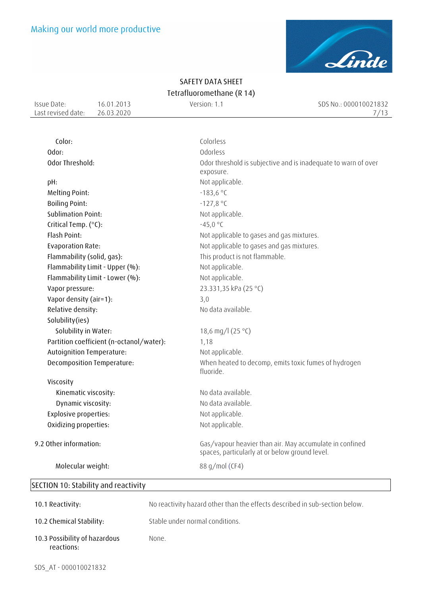

Issue Date: Last revised date: 26.03.2020 16.01.2013

Version: 1.1 SDS No.: 000010021832  $7/13$ 

| Color:                                   | Colorless                                                                                                 |
|------------------------------------------|-----------------------------------------------------------------------------------------------------------|
| Odor:                                    | Odorless                                                                                                  |
| Odor Threshold:                          | Odor threshold is subjective and is inadequate to warn of over<br>exposure.                               |
| pH:                                      | Not applicable.                                                                                           |
| Melting Point:                           | $-183,6 °C$                                                                                               |
| <b>Boiling Point:</b>                    | $-127,8 °C$                                                                                               |
| <b>Sublimation Point:</b>                | Not applicable.                                                                                           |
| Critical Temp. (°C):                     | $-45,0 °C$                                                                                                |
| Flash Point:                             | Not applicable to gases and gas mixtures.                                                                 |
| <b>Evaporation Rate:</b>                 | Not applicable to gases and gas mixtures.                                                                 |
| Flammability (solid, gas):               | This product is not flammable.                                                                            |
| Flammability Limit - Upper (%):          | Not applicable.                                                                                           |
| Flammability Limit - Lower (%):          | Not applicable.                                                                                           |
| Vapor pressure:                          | 23.331,35 kPa (25 °C)                                                                                     |
| Vapor density (air=1):                   | 3,0                                                                                                       |
| Relative density:                        | No data available.                                                                                        |
| Solubility(ies)                          |                                                                                                           |
| Solubility in Water:                     | 18,6 mg/l (25 °C)                                                                                         |
| Partition coefficient (n-octanol/water): | 1,18                                                                                                      |
| Autoignition Temperature:                | Not applicable.                                                                                           |
| Decomposition Temperature:               | When heated to decomp, emits toxic fumes of hydrogen<br>fluoride.                                         |
| Viscosity                                |                                                                                                           |
| Kinematic viscosity:                     | No data available.                                                                                        |
| Dynamic viscosity:                       | No data available.                                                                                        |
| <b>Explosive properties:</b>             | Not applicable.                                                                                           |
| Oxidizing properties:                    | Not applicable.                                                                                           |
| 9.2 Other information:                   | Gas/vapour heavier than air. May accumulate in confined<br>spaces, particularly at or below ground level. |
| Molecular weight:                        | 88 g/mol (CF4)                                                                                            |
|                                          |                                                                                                           |

## **SECTION 10: Stability and reactivity**

| 10.1 Reactivity:                            | No reactivity hazard other than the effects described in sub-section below. |
|---------------------------------------------|-----------------------------------------------------------------------------|
| 10.2 Chemical Stability:                    | Stable under normal conditions.                                             |
| 10.3 Possibility of hazardous<br>reactions: | None.                                                                       |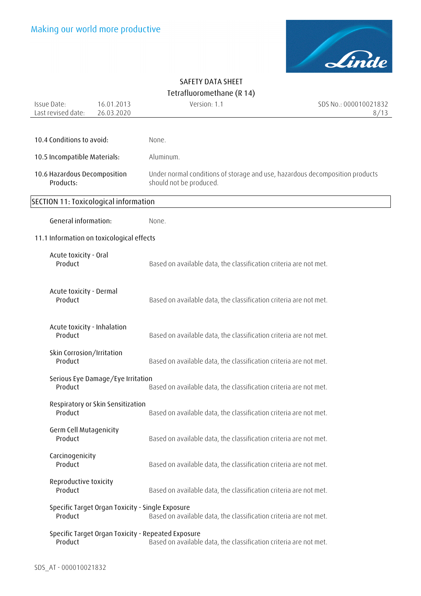

| Issue Date:<br>Last revised date:         | 16.01.2013<br>26.03.2020                         | Version: 1.1                                                                                                            | SDS No.: 000010021832<br>8/13 |
|-------------------------------------------|--------------------------------------------------|-------------------------------------------------------------------------------------------------------------------------|-------------------------------|
|                                           |                                                  |                                                                                                                         |                               |
| 10.4 Conditions to avoid:                 |                                                  | None.                                                                                                                   |                               |
| 10.5 Incompatible Materials:              |                                                  | Aluminum.                                                                                                               |                               |
| 10.6 Hazardous Decomposition<br>Products: |                                                  | Under normal conditions of storage and use, hazardous decomposition products<br>should not be produced.                 |                               |
| SECTION 11: Toxicological information     |                                                  |                                                                                                                         |                               |
| General information:                      |                                                  | None.                                                                                                                   |                               |
| 11.1 Information on toxicological effects |                                                  |                                                                                                                         |                               |
| Acute toxicity - Oral<br>Product          |                                                  | Based on available data, the classification criteria are not met.                                                       |                               |
| Acute toxicity - Dermal<br>Product        |                                                  | Based on available data, the classification criteria are not met.                                                       |                               |
| Acute toxicity - Inhalation<br>Product    |                                                  | Based on available data, the classification criteria are not met.                                                       |                               |
| Skin Corrosion/Irritation<br>Product      |                                                  | Based on available data, the classification criteria are not met.                                                       |                               |
| Product                                   | Serious Eye Damage/Eye Irritation                | Based on available data, the classification criteria are not met.                                                       |                               |
| Product                                   | Respiratory or Skin Sensitization                | Based on available data, the classification criteria are not met.                                                       |                               |
| Germ Cell Mutagenicity<br>Product         |                                                  | Based on available data, the classification criteria are not met.                                                       |                               |
| Carcinogenicity<br>Product                |                                                  | Based on available data, the classification criteria are not met.                                                       |                               |
| Reproductive toxicity<br>Product          |                                                  | Based on available data, the classification criteria are not met.                                                       |                               |
| Product                                   | Specific Target Organ Toxicity - Single Exposure | Based on available data, the classification criteria are not met.                                                       |                               |
| Product                                   |                                                  | Specific Target Organ Toxicity - Repeated Exposure<br>Based on available data, the classification criteria are not met. |                               |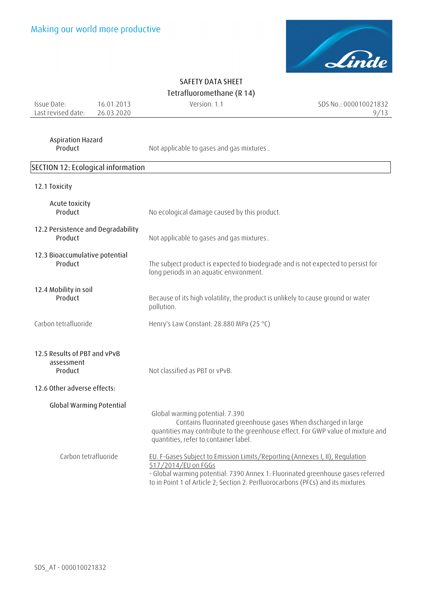

Issue Date: Last revised date: 26.03.2020 16.01.2013

Version: 1.1 SDS No.: 000010021832  $9/13$ 

## **Aspiration Hazard**

Not applicable to gases and gas mixtures..

### **SECTION 12: Ecological information**

|  |  | 12.1 Toxicity |
|--|--|---------------|
|--|--|---------------|

| Acute toxicity<br>Product                                                            | No ecological damage caused by this product.                                                                                                                                                                                                                              |
|--------------------------------------------------------------------------------------|---------------------------------------------------------------------------------------------------------------------------------------------------------------------------------------------------------------------------------------------------------------------------|
| 12.2 Persistence and Degradability<br>Product                                        | Not applicable to gases and gas mixtures                                                                                                                                                                                                                                  |
| 12.3 Bioaccumulative potential<br>Product                                            | The subject product is expected to biodegrade and is not expected to persist for<br>long periods in an aquatic environment.                                                                                                                                               |
| 12.4 Mobility in soil<br>Product                                                     | Because of its high volatility, the product is unlikely to cause ground or water<br>pollution.                                                                                                                                                                            |
| Carbon tetrafluoride                                                                 | Henry's Law Constant: 28.880 MPa (25 °C)                                                                                                                                                                                                                                  |
| 12.5 Results of PBT and vPvB<br>assessment<br>Product<br>12.6 Other adverse effects: | Not classified as PBT or vPvB.                                                                                                                                                                                                                                            |
| <b>Global Warming Potential</b>                                                      | Global warming potential: 7.390<br>Contains fluorinated greenhouse gases When discharged in large<br>quantities may contribute to the greenhouse effect. For GWP value of mixture and<br>quantities, refer to container label.                                            |
| Carbon tetrafluoride                                                                 | EU. F-Gases Subject to Emission Limits/Reporting (Annexes I, II), Regulation<br>517/2014/EU on FGGs<br>- Global warming potential: 7390 Annex 1: Fluorinated greenhouse gases referred<br>to in Point 1 of Article 2; Section 2: Perfluorocarbons (PFCs) and its mixtures |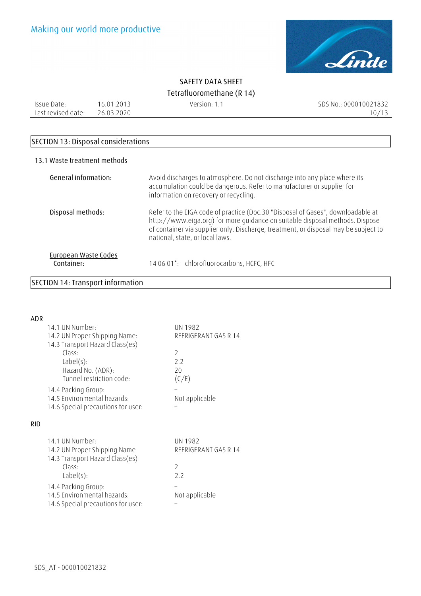

Issue Date: Last revised date: 26.03.2020 16.01.2013

Version: 1.1 SDS No.: 000010021832  $10/13$ 

#### **SECTION 13: Disposal considerations**

#### **13.1 Waste treatment methods**

| General information:               | Avoid discharges to atmosphere. Do not discharge into any place where its<br>accumulation could be dangerous. Refer to manufacturer or supplier for<br>information on recovery or recycling.                                                                                              |
|------------------------------------|-------------------------------------------------------------------------------------------------------------------------------------------------------------------------------------------------------------------------------------------------------------------------------------------|
| Disposal methods:                  | Refer to the EIGA code of practice (Doc.30 "Disposal of Gases", downloadable at<br>http://www.eiga.org) for more guidance on suitable disposal methods. Dispose<br>of container via supplier only. Discharge, treatment, or disposal may be subject to<br>national, state, or local laws. |
| European Waste Codes<br>Container: | 14 06 01*: chlorofluorocarbons, HCFC, HFC                                                                                                                                                                                                                                                 |

#### **SECTION 14: Transport information**

| ADR |                                    |                      |  |
|-----|------------------------------------|----------------------|--|
|     | 14.1 UN Number:                    | UN 1982              |  |
|     | 14.2 UN Proper Shipping Name:      | REFRIGERANT GAS R 14 |  |
|     | 14.3 Transport Hazard Class(es)    |                      |  |
|     | Class·                             | $\mathcal{P}$        |  |
|     | $Label(s)$ :                       | 2.2                  |  |
|     | Hazard No. (ADR):                  | 20                   |  |
|     | Tunnel restriction code:           | (C/E)                |  |
|     | 14.4 Packing Group:                |                      |  |
|     | 14.5 Environmental hazards:        | Not applicable       |  |
|     | 14.6 Special precautions for user: |                      |  |
| RID |                                    |                      |  |
|     |                                    |                      |  |
|     | 14.1 UN Number:                    | UN 1982              |  |
|     | 14.2 UN Proper Shipping Name       | REFRIGERANT GAS R 14 |  |
|     | 14.3 Transport Hazard Class(es)    |                      |  |
|     | Class:                             | $\mathcal{P}$        |  |
|     | $Label(s)$ :                       | 2.2                  |  |
|     | 14.4 Packing Group:                |                      |  |
|     | 14.5 Environmental hazards:        | Not applicable       |  |

14.6 Special precautions for user: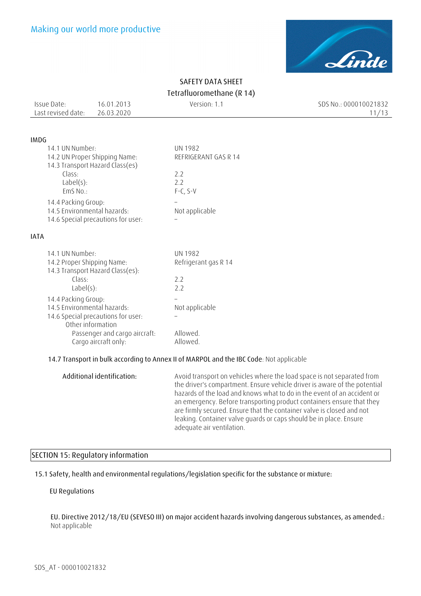

| Issue Date:        | 16.01.2013 | Version: 1.1 | SDS No.: 000010021832 |
|--------------------|------------|--------------|-----------------------|
| Last revised date: | 26.03.2020 |              |                       |
|                    |            |              |                       |

#### **IMDG**

| 14.1 UN Number:                                                  | UN 1982              |
|------------------------------------------------------------------|----------------------|
| 14.2 UN Proper Shipping Name:<br>14.3 Transport Hazard Class(es) | REFRIGERANT GAS R 14 |
| Class:                                                           | 22                   |
| $Label(s)$ :                                                     | 22                   |
| EmS No.:                                                         | $F-C, S-V$           |
| 14.4 Packing Group:                                              |                      |
| 14.5 Environmental hazards:                                      | Not applicable       |
| 14.6 Special precautions for user:                               |                      |

#### **IATA**

| 14.1 UN Number:                                       | UN 1982              |
|-------------------------------------------------------|----------------------|
| 14.2 Proper Shipping Name:                            | Refrigerant gas R 14 |
| 14.3 Transport Hazard Class(es):                      |                      |
| Class:                                                | 22                   |
| $Label(s)$ :                                          | 22                   |
| 14.4 Packing Group:                                   |                      |
| 14.5 Environmental hazards:                           | Not applicable       |
| 14.6 Special precautions for user:                    |                      |
| Other information                                     |                      |
| Passenger and cargo aircraft:<br>Cargo aircraft only: | Allowed.<br>Allowed. |
|                                                       |                      |

#### **14.7 Transport in bulk according to Annex II of MARPOL and the IBC Code**: Not applicable

**Additional identification:** Avoid transport on vehicles where the load space is not separated from the driver's compartment. Ensure vehicle driver is aware of the potential hazards of the load and knows what to do in the event of an accident or an emergency. Before transporting product containers ensure that they are firmly secured. Ensure that the container valve is closed and not leaking. Container valve guards or caps should be in place. Ensure adequate air ventilation.

#### **SECTION 15: Regulatory information**

#### **15.1 Safety, health and environmental regulations/legislation specific for the substance or mixture:**

#### **EU Regulations**

**EU. Directive 2012/18/EU (SEVESO III) on major accident hazards involving dangerous substances, as amended.:** Not applicable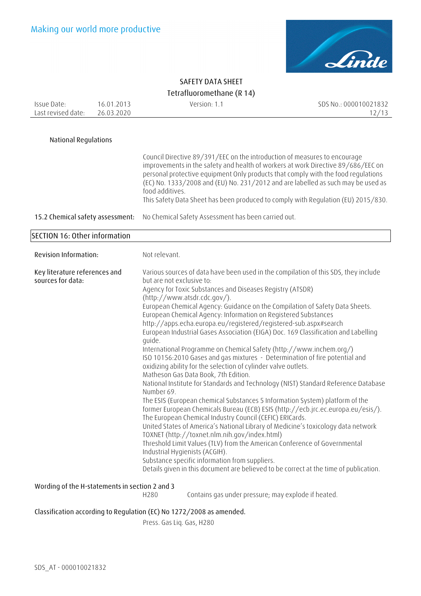

| Issue Date:                                        | 16.01.2013 |                                                                                                                                                                                                                                                                                                                                                                                                                                                                                                                                                                                                                                                                                                                                                                                                                                                                                                                                                                                                                                                                                                                                                                                                                                                                                                                                                                                                                                                                                                                                                          | Version: 1.1                                                         | SDS No.: 000010021832                                                                                                                                                                                                                                                                                                                                                                                                       |
|----------------------------------------------------|------------|----------------------------------------------------------------------------------------------------------------------------------------------------------------------------------------------------------------------------------------------------------------------------------------------------------------------------------------------------------------------------------------------------------------------------------------------------------------------------------------------------------------------------------------------------------------------------------------------------------------------------------------------------------------------------------------------------------------------------------------------------------------------------------------------------------------------------------------------------------------------------------------------------------------------------------------------------------------------------------------------------------------------------------------------------------------------------------------------------------------------------------------------------------------------------------------------------------------------------------------------------------------------------------------------------------------------------------------------------------------------------------------------------------------------------------------------------------------------------------------------------------------------------------------------------------|----------------------------------------------------------------------|-----------------------------------------------------------------------------------------------------------------------------------------------------------------------------------------------------------------------------------------------------------------------------------------------------------------------------------------------------------------------------------------------------------------------------|
| Last revised date:                                 | 26.03.2020 |                                                                                                                                                                                                                                                                                                                                                                                                                                                                                                                                                                                                                                                                                                                                                                                                                                                                                                                                                                                                                                                                                                                                                                                                                                                                                                                                                                                                                                                                                                                                                          |                                                                      | 12/13                                                                                                                                                                                                                                                                                                                                                                                                                       |
|                                                    |            |                                                                                                                                                                                                                                                                                                                                                                                                                                                                                                                                                                                                                                                                                                                                                                                                                                                                                                                                                                                                                                                                                                                                                                                                                                                                                                                                                                                                                                                                                                                                                          |                                                                      |                                                                                                                                                                                                                                                                                                                                                                                                                             |
| <b>National Regulations</b>                        |            |                                                                                                                                                                                                                                                                                                                                                                                                                                                                                                                                                                                                                                                                                                                                                                                                                                                                                                                                                                                                                                                                                                                                                                                                                                                                                                                                                                                                                                                                                                                                                          |                                                                      |                                                                                                                                                                                                                                                                                                                                                                                                                             |
| 15.2 Chemical safety assessment:                   |            | food additives.                                                                                                                                                                                                                                                                                                                                                                                                                                                                                                                                                                                                                                                                                                                                                                                                                                                                                                                                                                                                                                                                                                                                                                                                                                                                                                                                                                                                                                                                                                                                          | No Chemical Safety Assessment has been carried out.                  | Council Directive 89/391/EEC on the introduction of measures to encourage<br>improvements in the safety and health of workers at work Directive 89/686/EEC on<br>personal protective equipment Only products that comply with the food regulations<br>(EC) No. 1333/2008 and (EU) No. 231/2012 and are labelled as such may be used as<br>This Safety Data Sheet has been produced to comply with Regulation (EU) 2015/830. |
| SECTION 16: Other information                      |            |                                                                                                                                                                                                                                                                                                                                                                                                                                                                                                                                                                                                                                                                                                                                                                                                                                                                                                                                                                                                                                                                                                                                                                                                                                                                                                                                                                                                                                                                                                                                                          |                                                                      |                                                                                                                                                                                                                                                                                                                                                                                                                             |
| Revision Information:                              |            |                                                                                                                                                                                                                                                                                                                                                                                                                                                                                                                                                                                                                                                                                                                                                                                                                                                                                                                                                                                                                                                                                                                                                                                                                                                                                                                                                                                                                                                                                                                                                          |                                                                      |                                                                                                                                                                                                                                                                                                                                                                                                                             |
| Key literature references and<br>sources for data: |            | Not relevant.<br>Various sources of data have been used in the compilation of this SDS, they include<br>but are not exclusive to:<br>Agency for Toxic Substances and Diseases Registry (ATSDR)<br>(http://www.atsdr.cdc.gov/).<br>European Chemical Agency: Guidance on the Compilation of Safety Data Sheets.<br>European Chemical Agency: Information on Registered Substances<br>http://apps.echa.europa.eu/registered/registered-sub.aspx#search<br>European Industrial Gases Association (EIGA) Doc. 169 Classification and Labelling<br>quide.<br>International Programme on Chemical Safety (http://www.inchem.org/)<br>ISO 10156:2010 Gases and gas mixtures - Determination of fire potential and<br>oxidizing ability for the selection of cylinder valve outlets.<br>Matheson Gas Data Book, 7th Edition.<br>National Institute for Standards and Technology (NIST) Standard Reference Database<br>Number 69.<br>The ESIS (European chemical Substances 5 Information System) platform of the<br>former European Chemicals Bureau (ECB) ESIS (http://ecb.jrc.ec.europa.eu/esis/).<br>The European Chemical Industry Council (CEFIC) ERICards.<br>United States of America's National Library of Medicine's toxicology data network<br>TOXNET (http://toxnet.nlm.nih.gov/index.html)<br>Threshold Limit Values (TLV) from the American Conference of Governmental<br>Industrial Hygienists (ACGIH).<br>Substance specific information from suppliers.<br>Details given in this document are believed to be correct at the time of publication. |                                                                      |                                                                                                                                                                                                                                                                                                                                                                                                                             |
| Wording of the H-statements in section 2 and 3     |            | H280                                                                                                                                                                                                                                                                                                                                                                                                                                                                                                                                                                                                                                                                                                                                                                                                                                                                                                                                                                                                                                                                                                                                                                                                                                                                                                                                                                                                                                                                                                                                                     |                                                                      | Contains gas under pressure; may explode if heated.                                                                                                                                                                                                                                                                                                                                                                         |
|                                                    |            |                                                                                                                                                                                                                                                                                                                                                                                                                                                                                                                                                                                                                                                                                                                                                                                                                                                                                                                                                                                                                                                                                                                                                                                                                                                                                                                                                                                                                                                                                                                                                          | Classification according to Regulation (EC) No 1272/2008 as amended. |                                                                                                                                                                                                                                                                                                                                                                                                                             |

Press. Gas Liq. Gas, H280